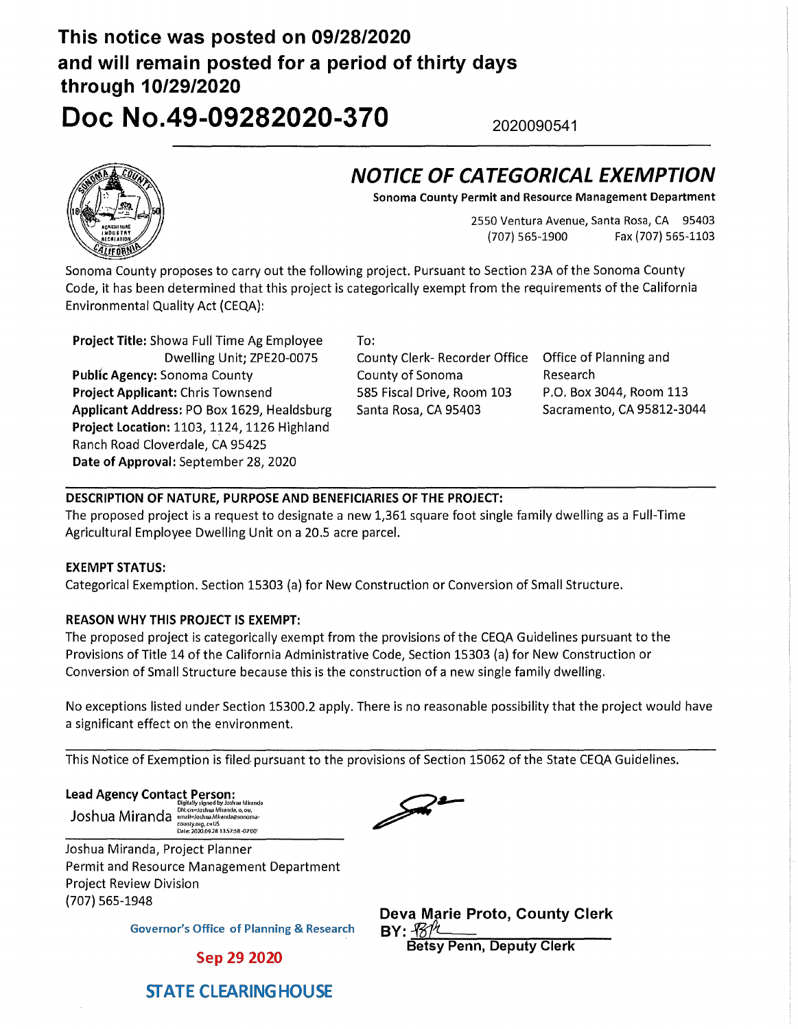## **This notice was posted on 09/28/2020 and will remain posted for a period of thirty days through 10/29/2020**

2020090541

# **Doc No.49-09282020-370**

### **NOTICE OF CATEGORICAL EXEMPTION**

**Sonoma County Permit and Resource Management Department** 

2550 Ventura Avenue, Santa Rosa, CA 95403 (707)565-1900 Fax(707)565-1103

Sonoma County proposes to carry out the following project. Pursuant to Section 23A of the Sonoma County Code, it has been determined that this project is categorically exempt from the requirements of the California Environmental Quality Act {CEQA):

**Project Title:** Showa Full Time Ag Employee Dwelling Unit; ZPE20-0075 **Public Agency:** Sonoma County **Project Applicant:** Chris Townsend **Applicant Address:** PO Box 1629, Healdsburg **Project Location:** 1103, 1124, 1126 Highland Ranch Road Cloverdale, CA 95425 **Date of Approval:** September 28, 2020

To: County Clerk- Recorder Office Office of Planning and County of Sonoma 585 Fiscal Drive, Room 103 Santa Rosa, CA 95403

Research P.O. Box 3044, Room 113 Sacramento, CA 95812-3044

#### **DESCRIPTION OF NATURE, PURPOSE AND BENEFICIARIES OF THE PROJECT:**

The proposed project is a request to designate a new 1,361 square foot single family dwelling as a Full-Time Agricultural Employee Dwelling Unit on a 20.5 acre parcel.

#### **EXEMPT STATUS:**

Categorical Exemption. Section 15303 {a) for New Construction or Conversion of Small Structure.

#### **REASON WHY THIS PROJECT IS EXEMPT:**

The proposed project is categorically exempt from the provisions of the CEQA Guidelines pursuant to the Provisions of Title 14 of the California Administrative Code, Section 15303 {a) for New Construction or Conversion of Small Structure because this is the construction of a new single family dwelling.

No exceptions listed under Section 15300.2 apply. There is no reasonable possibility that the project would have a significant effect on the environment.

This Notice of Exemption is filed. pursuant to the provisions of Section 15062 of the State CEQA Guidelines.

**Lead Agency Contact Person:** Dlgltall)t signed ll'/ Joshua Ml,anda

Joshua Miranda <sup>DN: cn=Joshua Miranda, o, ou,<br>amanibala mana <sup>county.or</sup>uaManda@sonoma-</sup> county.org, c=US<br>Date: 2020.09.28 13.57:58-07'00'

Joshua Miranda, Project Planner Permit and Resource Management Department Project Review Division {707) 565-1948

**Governor's Office of Planning & Research** 

Sep 29 2020



**Deva Marie Proto, County Clerk**<br>BY: <del>1011 Deva Devatu Clerk</del> **Betsy Penn, Deputy Clerk** 



#### **STATE CLEARING HOUSE**